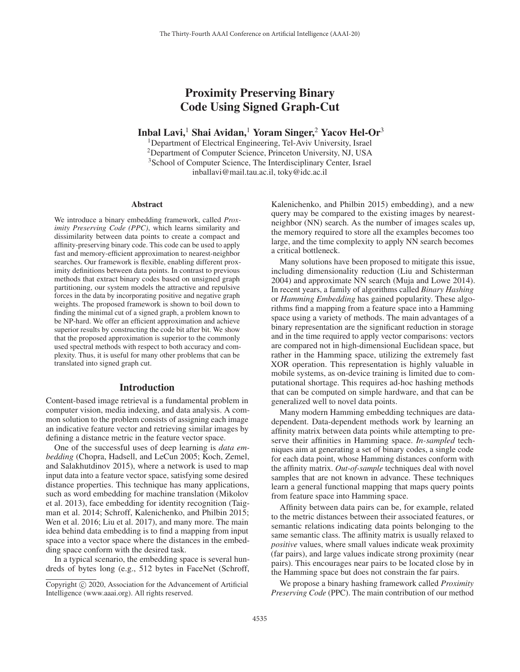# Proximity Preserving Binary Code Using Signed Graph-Cut

Inbal Lavi,<sup>1</sup> Shai Avidan,<sup>1</sup> Yoram Singer,<sup>2</sup> Yacov Hel-Or<sup>3</sup>

1Department of Electrical Engineering, Tel-Aviv University, Israel 2Department of Computer Science, Princeton University, NJ, USA 3School of Computer Science, The Interdisciplinary Center, Israel inballavi@mail.tau.ac.il, toky@idc.ac.il

#### Abstract

We introduce a binary embedding framework, called *Proximity Preserving Code (PPC)*, which learns similarity and dissimilarity between data points to create a compact and affinity-preserving binary code. This code can be used to apply fast and memory-efficient approximation to nearest-neighbor searches. Our framework is flexible, enabling different proximity definitions between data points. In contrast to previous methods that extract binary codes based on unsigned graph partitioning, our system models the attractive and repulsive forces in the data by incorporating positive and negative graph weights. The proposed framework is shown to boil down to finding the minimal cut of a signed graph, a problem known to be NP-hard. We offer an efficient approximation and achieve superior results by constructing the code bit after bit. We show that the proposed approximation is superior to the commonly used spectral methods with respect to both accuracy and complexity. Thus, it is useful for many other problems that can be translated into signed graph cut.

## Introduction

Content-based image retrieval is a fundamental problem in computer vision, media indexing, and data analysis. A common solution to the problem consists of assigning each image an indicative feature vector and retrieving similar images by defining a distance metric in the feature vector space.

One of the successful uses of deep learning is *data embedding* (Chopra, Hadsell, and LeCun 2005; Koch, Zemel, and Salakhutdinov 2015), where a network is used to map input data into a feature vector space, satisfying some desired distance properties. This technique has many applications, such as word embedding for machine translation (Mikolov et al. 2013), face embedding for identity recognition (Taigman et al. 2014; Schroff, Kalenichenko, and Philbin 2015; Wen et al. 2016; Liu et al. 2017), and many more. The main idea behind data embedding is to find a mapping from input space into a vector space where the distances in the embedding space conform with the desired task.

In a typical scenario, the embedding space is several hundreds of bytes long (e.g., 512 bytes in FaceNet (Schroff,

Kalenichenko, and Philbin 2015) embedding), and a new query may be compared to the existing images by nearestneighbor (NN) search. As the number of images scales up, the memory required to store all the examples becomes too large, and the time complexity to apply NN search becomes a critical bottleneck.

Many solutions have been proposed to mitigate this issue, including dimensionality reduction (Liu and Schisterman 2004) and approximate NN search (Muja and Lowe 2014). In recent years, a family of algorithms called *Binary Hashing* or *Hamming Embedding* has gained popularity. These algorithms find a mapping from a feature space into a Hamming space using a variety of methods. The main advantages of a binary representation are the significant reduction in storage and in the time required to apply vector comparisons: vectors are compared not in high-dimensional Euclidean space, but rather in the Hamming space, utilizing the extremely fast XOR operation. This representation is highly valuable in mobile systems, as on-device training is limited due to computational shortage. This requires ad-hoc hashing methods that can be computed on simple hardware, and that can be generalized well to novel data points.

Many modern Hamming embedding techniques are datadependent. Data-dependent methods work by learning an affinity matrix between data points while attempting to preserve their affinities in Hamming space. *In-sampled* techniques aim at generating a set of binary codes, a single code for each data point, whose Hamming distances conform with the affinity matrix. *Out-of-sample* techniques deal with novel samples that are not known in advance. These techniques learn a general functional mapping that maps query points from feature space into Hamming space.

Affinity between data pairs can be, for example, related to the metric distances between their associated features, or semantic relations indicating data points belonging to the same semantic class. The affinity matrix is usually relaxed to *positive* values, where small values indicate weak proximity (far pairs), and large values indicate strong proximity (near pairs). This encourages near pairs to be located close by in the Hamming space but does not constrain the far pairs.

We propose a binary hashing framework called *Proximity Preserving Code* (PPC). The main contribution of our method

Copyright  $\odot$  2020, Association for the Advancement of Artificial Intelligence (www.aaai.org). All rights reserved.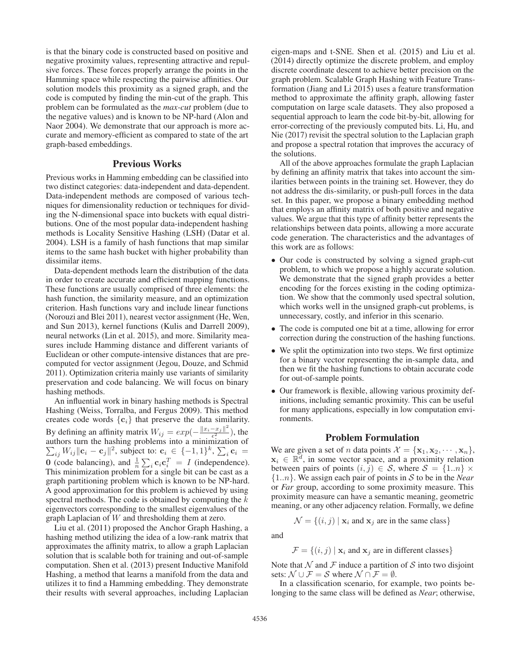is that the binary code is constructed based on positive and negative proximity values, representing attractive and repulsive forces. These forces properly arrange the points in the Hamming space while respecting the pairwise affinities. Our solution models this proximity as a signed graph, and the code is computed by finding the min-cut of the graph. This problem can be formulated as the *max-cut* problem (due to the negative values) and is known to be NP-hard (Alon and Naor 2004). We demonstrate that our approach is more accurate and memory-efficient as compared to state of the art graph-based embeddings.

## Previous Works

Previous works in Hamming embedding can be classified into two distinct categories: data-independent and data-dependent. Data-independent methods are composed of various techniques for dimensionality reduction or techniques for dividing the N-dimensional space into buckets with equal distributions. One of the most popular data-independent hashing methods is Locality Sensitive Hashing (LSH) (Datar et al. 2004). LSH is a family of hash functions that map similar items to the same hash bucket with higher probability than dissimilar items.

Data-dependent methods learn the distribution of the data in order to create accurate and efficient mapping functions. These functions are usually comprised of three elements: the hash function, the similarity measure, and an optimization criterion. Hash functions vary and include linear functions (Norouzi and Blei 2011), nearest vector assignment (He, Wen, and Sun 2013), kernel functions (Kulis and Darrell 2009), neural networks (Lin et al. 2015), and more. Similarity measures include Hamming distance and different variants of Euclidean or other compute-intensive distances that are precomputed for vector assignment (Jegou, Douze, and Schmid 2011). Optimization criteria mainly use variants of similarity preservation and code balancing. We will focus on binary hashing methods.

An influential work in binary hashing methods is Spectral Hashing (Weiss, Torralba, and Fergus 2009). This method creates code words {**c**i} that preserve the data similarity. By defining an affinity matrix  $W_{ij} = exp(-\frac{||x_i - x_j||^2}{\epsilon^2})$ <br>authors turn the bashing problems into a minimizati By defining an affinity matrix  $W_{ij} = exp(-\frac{||x_i - x_j||}{e^2})$ , the authors turn the hashing problems into a minimization of  $\sum_{ij} W_{ij} \|\mathbf{c}_i - \mathbf{c}_j\|^2$ , subject to:  $\mathbf{c}_i \in \{-1, 1\}^k$ ,  $\sum_i \mathbf{c}_i =$ **0** (code balancing), and  $\frac{1}{n} \sum_i \mathbf{c}_i \mathbf{c}_i^T = I$  (independence).<br>This minimization problem for a single bit can be cast as a This minimization problem for a single bit can be cast as a graph partitioning problem which is known to be NP-hard. A good approximation for this problem is achieved by using spectral methods. The code is obtained by computing the  $k$ eigenvectors corresponding to the smallest eigenvalues of the graph Laplacian of W and thresholding them at zero.

Liu et al. (2011) proposed the Anchor Graph Hashing, a hashing method utilizing the idea of a low-rank matrix that approximates the affinity matrix, to allow a graph Laplacian solution that is scalable both for training and out-of-sample computation. Shen et al. (2013) present Inductive Manifold Hashing, a method that learns a manifold from the data and utilizes it to find a Hamming embedding. They demonstrate their results with several approaches, including Laplacian

eigen-maps and t-SNE. Shen et al. (2015) and Liu et al. (2014) directly optimize the discrete problem, and employ discrete coordinate descent to achieve better precision on the graph problem. Scalable Graph Hashing with Feature Transformation (Jiang and Li 2015) uses a feature transformation method to approximate the affinity graph, allowing faster computation on large scale datasets. They also proposed a sequential approach to learn the code bit-by-bit, allowing for error-correcting of the previously computed bits. Li, Hu, and Nie (2017) revisit the spectral solution to the Laplacian graph and propose a spectral rotation that improves the accuracy of the solutions.

All of the above approaches formulate the graph Laplacian by defining an affinity matrix that takes into account the similarities between points in the training set. However, they do not address the dis-similarity, or push-pull forces in the data set. In this paper, we propose a binary embedding method that employs an affinity matrix of both positive and negative values. We argue that this type of affinity better represents the relationships between data points, allowing a more accurate code generation. The characteristics and the advantages of this work are as follows:

- Our code is constructed by solving a signed graph-cut problem, to which we propose a highly accurate solution. We demonstrate that the signed graph provides a better encoding for the forces existing in the coding optimization. We show that the commonly used spectral solution, which works well in the unsigned graph-cut problems, is unnecessary, costly, and inferior in this scenario.
- The code is computed one bit at a time, allowing for error correction during the construction of the hashing functions.
- We split the optimization into two steps. We first optimize for a binary vector representing the in-sample data, and then we fit the hashing functions to obtain accurate code for out-of-sample points.
- Our framework is flexible, allowing various proximity definitions, including semantic proximity. This can be useful for many applications, especially in low computation environments.

## Problem Formulation

We are given a set of *n* data points  $\mathcal{X} = {\mathbf{x}_1, \mathbf{x}_2, \cdots, \mathbf{x}_n}$ ,  $x_i \in \mathbb{R}^d$ , in some vector space, and a proximity relation between pairs of points  $(i, j) \in S$ , where  $S = \{1..n\} \times$ {1..n}. We assign each pair of points in <sup>S</sup> to be in the *Near* or *Far* group, according to some proximity measure. This proximity measure can have a semantic meaning, geometric meaning, or any other adjacency relation. Formally, we define

$$
\mathcal{N} = \{(i, j) \mid \mathbf{x}_i \text{ and } \mathbf{x}_j \text{ are in the same class}\}
$$

and

$$
\mathcal{F} = \{(i, j) \mid \mathbf{x}_i \text{ and } \mathbf{x}_j \text{ are in different classes}\}
$$

Note that  $N$  and  $\mathcal F$  induce a partition of  $\mathcal S$  into two disjoint sets:  $\mathcal{N} \cup \mathcal{F} = \mathcal{S}$  where  $\mathcal{N} \cap \mathcal{F} = \emptyset$ .

In a classification scenario, for example, two points belonging to the same class will be defined as *Near*; otherwise,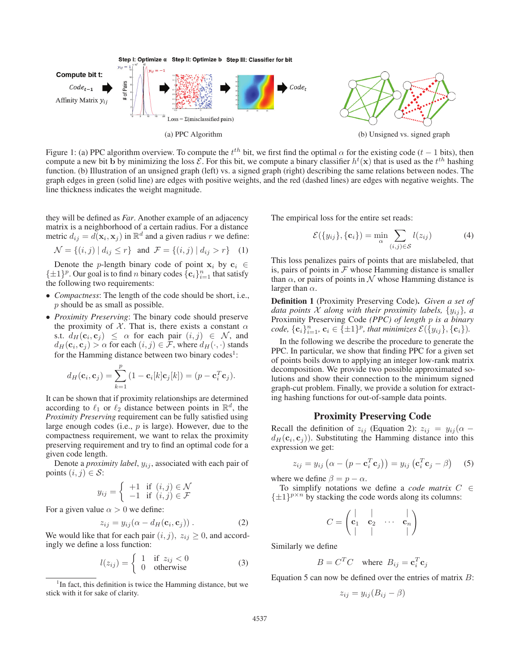

Figure 1: (a) PPC algorithm overview. To compute the  $t^{th}$  bit, we first find the optimal  $\alpha$  for the existing code ( $t - 1$  bits), then compute a new bit b by minimizing the loss  $\mathcal{E}$ . For this bit, we compute a bin compute a new bit **b** by minimizing the loss  $\mathcal{E}$ . For this bit, we compute a binary classifier  $h^t(\mathbf{x})$  that is used as the t<sup>th</sup> hashing function (b) Illustration of an unsigned graph (left) ys a signed graph (rig function. (b) Illustration of an unsigned graph (left) vs. a signed graph (right) describing the same relations between nodes. The graph edges in green (solid line) are edges with positive weights, and the red (dashed lines) are edges with negative weights. The line thickness indicates the weight magnitude.

they will be defined as *Far*. Another example of an adjacency matrix is a neighborhood of a certain radius. For a distance metric  $d_{ij} = d(\mathbf{x}_i, \mathbf{x}_j)$  in  $\mathbb{R}^d$  and a given radius r we define:

$$
\mathcal{N} = \{(i, j) \mid d_{ij} \le r\} \text{ and } \mathcal{F} = \{(i, j) \mid d_{ij} > r\} \quad (1)
$$

Denote the p-length binary code of point  $x_i$  by  $c_i \in$  $\{\pm 1\}^p$ . Our goal is to find *n* binary codes  $\{\mathbf{c}_i\}_{i=1}^n$  that satisfy the following two requirements. the following two requirements:

- *Compactness*: The length of the code should be short, i.e., p should be as small as possible.
- *Proximity Preserving*: The binary code should preserve the proximity of  $X$ . That is, there exists a constant  $\alpha$ s.t.  $d_H(c_i, c_j) \leq \alpha$  for each pair  $(i, j) \in \mathcal{N}$ , and  $d_H(\mathbf{c}_i, \mathbf{c}_j) > \alpha$  for each  $(i, j) \in \mathcal{F}$ , where  $d_H(\cdot, \cdot)$  stands for the Hamming distance between two binary codes<sup>1</sup>:

$$
d_H(\mathbf{c}_i, \mathbf{c}_j) = \sum_{k=1}^p (1 - \mathbf{c}_i[k]\mathbf{c}_j[k]) = (p - \mathbf{c}_i^T \mathbf{c}_j).
$$

It can be shown that if proximity relationships are determined according to  $\ell_1$  or  $\ell_2$  distance between points in  $\mathbb{R}^d$ , the *Proximity Preserving* requirement can be fully satisfied using large enough codes (i.e.,  $p$  is large). However, due to the compactness requirement, we want to relax the proximity preserving requirement and try to find an optimal code for a given code length.

Denote a *proximity label*,  $y_{ij}$ , associated with each pair of points  $(i, j) \in S$ :

$$
y_{ij} = \begin{cases} +1 & \text{if } (i,j) \in \mathcal{N} \\ -1 & \text{if } (i,j) \in \mathcal{F} \end{cases}
$$

For a given value  $\alpha > 0$  we define:

$$
z_{ij} = y_{ij}(\alpha - d_H(\mathbf{c}_i, \mathbf{c}_j)). \tag{2}
$$

We would like that for each pair  $(i, j)$ ,  $z_{ij} \geq 0$ , and accord-<br>ingly we define a loss function: ingly we define a loss function:

$$
l(z_{ij}) = \begin{cases} 1 & \text{if } z_{ij} < 0\\ 0 & \text{otherwise} \end{cases}
$$
 (3)

The empirical loss for the entire set reads:

$$
\mathcal{E}(\{y_{ij}\}, \{\mathbf{c}_i\}) = \min_{\alpha} \sum_{(i,j) \in \mathcal{S}} l(z_{ij})
$$
 (4)

This loss penalizes pairs of points that are mislabeled, that is, pairs of points in  $F$  whose Hamming distance is smaller than  $\alpha$ , or pairs of points in N whose Hamming distance is larger than  $\alpha$ .

Definition 1 (Proximity Preserving Code). *Given a set of data points* X *along with their proximity labels,*  $\{y_{ij}\}\$ *, a* Proximity Preserving Code *(PPC) of length* p *is a binary*  $code$ ,  $\{c_i\}_{i=1}^n$ ,  $\mathbf{c}_i \in \{\pm 1\}^p$ , that minimizes  $\mathcal{E}(\{y_{ij}\}, \{\mathbf{c}_i\})$ .

In the following we describe the procedure to generate the PPC. In particular, we show that finding PPC for a given set of points boils down to applying an integer low-rank matrix decomposition. We provide two possible approximated solutions and show their connection to the minimum signed graph-cut problem. Finally, we provide a solution for extracting hashing functions for out-of-sample data points.

#### Proximity Preserving Code

Recall the definition of  $z_{ij}$  (Equation 2):  $z_{ij} = y_{ij} (\alpha$  $d_H(c_i, c_j)$ ). Substituting the Hamming distance into this expression we get:

$$
z_{ij} = y_{ij} \left( \alpha - \left( p - \mathbf{c}_i^T \mathbf{c}_j \right) \right) = y_{ij} \left( \mathbf{c}_i^T \mathbf{c}_j - \beta \right) \quad (5)
$$

where we define  $\beta = p - \alpha$ .

To simplify notations we define a *code matrix* C ∈  $\{\pm 1\}^{p \times n}$  by stacking the code words along its columns:

$$
C = \begin{pmatrix} | & | & & | \\ \mathbf{c}_1 & \mathbf{c}_2 & \cdots & \mathbf{c}_n \\ | & | & | & & | \end{pmatrix}
$$

Similarly we define

$$
B = C^T C \quad \text{where} \quad B_{ij} = \mathbf{c}_i^T \mathbf{c}_j
$$

Equation 5 can now be defined over the entries of matrix  $B$ :

$$
z_{ij} = y_{ij}(B_{ij} - \beta)
$$

<sup>&</sup>lt;sup>1</sup>In fact, this definition is twice the Hamming distance, but we stick with it for sake of clarity.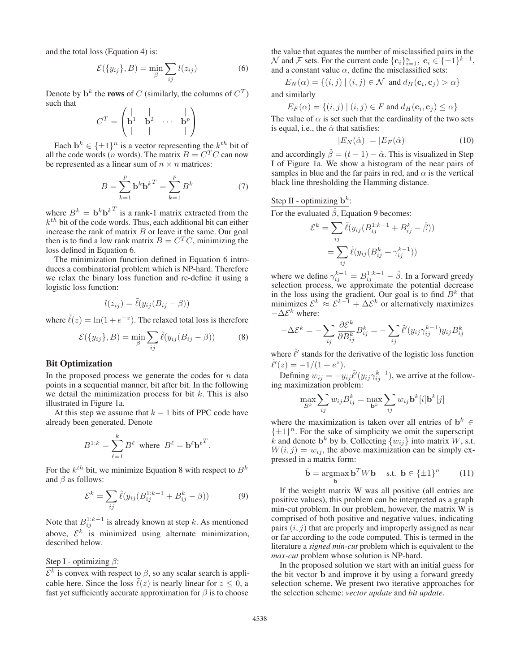and the total loss (Equation 4) is:

$$
\mathcal{E}(\{y_{ij}\},B) = \min_{\beta} \sum_{ij} l(z_{ij})
$$
 (6)

Denote by  $\mathbf{b}^k$  the **rows** of C (similarly, the columns of  $C^T$ ) such that

$$
C^{T} = \begin{pmatrix} | & | & | \\ \mathbf{b}^{1} & \mathbf{b}^{2} & \cdots & \mathbf{b}^{p} \\ | & | & | & | \end{pmatrix}
$$

Each  $\mathbf{b}^k \in {\{\pm 1\}}^n$  is a vector representing the  $k^{th}$  bit of all the code words (*n* words). The matrix  $B = C<sup>T</sup>C$  can now be represented as a linear sum of  $n \times n$  matrices:

$$
B = \sum_{k=1}^{p} \mathbf{b}^{k} \mathbf{b}^{k}^{T} = \sum_{k=1}^{p} B^{k}
$$
 (7)

where  $B^k = \mathbf{b}^k \mathbf{b}^{k^T}$  is a rank-1 matrix extracted from the  $k<sup>th</sup>$  bit of the code words. Thus, each additional bit can either increase the rank of matrix  $B$  or leave it the same. Our goal then is to find a low rank matrix  $B = C<sup>T</sup>C$ , minimizing the loss defined in Equation 6.

The minimization function defined in Equation 6 introduces a combinatorial problem which is NP-hard. Therefore we relax the binary loss function and re-define it using a logistic loss function:

$$
l(z_{ij}) = \tilde{\ell}(y_{ij}(B_{ij} - \beta))
$$

where  $\tilde{\ell}(z) = \ln(1 + e^{-z})$ . The relaxed total loss is therefore

$$
\mathcal{E}(\{y_{ij}\},B) = \min_{\beta} \sum_{ij} \tilde{\ell}(y_{ij}(B_{ij} - \beta))
$$
 (8)

## Bit Optimization

In the proposed process we generate the codes for  $n$  data points in a sequential manner, bit after bit. In the following we detail the minimization process for bit  $k$ . This is also illustrated in Figure 1a.

At this step we assume that  $k - 1$  bits of PPC code have already been generated. Denote

$$
B^{1:k} = \sum_{\ell=1}^k B^{\ell} \text{ where } B^{\ell} = \mathbf{b}^{\ell} \mathbf{b}^{\ell}^T.
$$

For the  $k^{th}$  bit, we minimize Equation 8 with respect to  $B^k$ and  $\beta$  as follows:

$$
\mathcal{E}^{k} = \sum_{ij} \tilde{\ell}(y_{ij} (B_{ij}^{1:k-1} + B_{ij}^{k} - \beta))
$$
 (9)

Note that  $B_{ij}^{1:k-1}$  is already known at step k. As mentioned above,  $\mathcal{E}^k$  is minimized using alternate minimization, described below.

## Step I - optimizing  $\beta$ :

 $\mathcal{E}^k$  is convex with respect to  $\beta$ , so any scalar search is applicable here. Since the loss  $\tilde{\ell}(z)$  is nearly linear for  $z \leq 0$ , a fast yet sufficiently accurate approximation for  $\beta$  is to choose

the value that equates the number of misclassified pairs in the N and F sets. For the current code  $\{\mathbf{c}_i\}_{i=1}^n$ ,  $\mathbf{c}_i \in \{\pm 1\}^{k-1}$ , and a constant value  $\alpha$  define the misclassified sets: and a constant value  $\alpha$ , define the misclassified sets:

$$
E_N(\alpha) = \{(i, j) \mid (i, j) \in \mathcal{N} \text{ and } d_H(\mathbf{c}_i, \mathbf{c}_j) > \alpha\}
$$
  
d similarly

and similarly

$$
E_F(\alpha) = \{(i, j) \mid (i, j) \in F \text{ and } d_H(\mathbf{c}_i, \mathbf{c}_j) \le \alpha\}
$$

 $E_F(\alpha) = \{(i, j) | (i, j) \in F \text{ and } d_H(\mathbf{c}_i, \mathbf{c}_j) \leq \alpha\}$ <br>The value of  $\alpha$  is set such that the cardinality of the two sets is equal, i.e., the  $\hat{\alpha}$  that satisfies:

$$
|E_N(\hat{\alpha})| = |E_F(\hat{\alpha})| \tag{10}
$$

and accordingly  $\hat{\beta} = (t - 1) - \hat{\alpha}$ . This is visualized in Step I of Figure 1a. We show a histogram of the near pairs of I of Figure 1a. We show a histogram of the near pairs of samples in blue and the far pairs in red, and  $\alpha$  is the vertical black line thresholding the Hamming distance.

## Step II - optimizing  $\mathbf{b}^k$ :

For the evaluated  $\hat{\beta}$ , Equation 9 becomes:

$$
\mathcal{E}^k = \sum_{ij} \tilde{\ell}(y_{ij} (B_{ij}^{1:k-1} + B_{ij}^k - \hat{\beta}))
$$

$$
= \sum_{ij} \tilde{\ell}(y_{ij} (B_{ij}^k + \gamma_{ij}^{k-1}))
$$

where we define  $\gamma_{ij}^{k-1} = B_{ij}^{1:k-1} - \hat{\beta}$ . In a forward greedy selection process, we approximate the potential decrease in the loss using the gradient. Our goal is to find  $B<sup>k</sup>$  that minimizes  $\mathcal{E}^k \approx \mathcal{E}^{k-1} + \Delta \mathcal{E}^k$  or alternatively maximizes  $-\Delta \mathcal{E}^k$  where:

$$
-\Delta \mathcal{E}^k = -\sum_{ij} \frac{\partial \mathcal{E}^k}{\partial B_{ij}^k} B_{ij}^k = -\sum_{ij} \tilde{\ell}'(y_{ij} \gamma_{ij}^{k-1}) y_{ij} B_{ij}^k
$$

where  $\tilde{\ell}'$  stands for the derivative of the logistic loss function  $\tilde{\ell}'(z) = -1/(1 + e^z).$ 

Defining  $w_{ij} = -y_{ij} \tilde{\ell}'(y_{ij} \gamma_{ij}^{k-1})$ , we arrive at the following maximization problem:

$$
\max_{B^k} \sum_{ij} w_{ij} B^k_{ij} = \max_{\mathbf{b}^k} \sum_{ij} w_{ij} \mathbf{b}^k[i] \mathbf{b}^k[j]
$$

where the maximization is taken over all entries of  $\mathbf{b}^k \in$  $\{\pm 1\}^n$ . For the sake of simplicity we omit the superscript  $\hat{k}$  and denote  $\mathbf{b}^k$  by  $\mathbf{b}$ . Collecting  $\{w_{ij}\}\$ into matrix W, s.t.  $W(i, j) = w_{ij}$ , the above maximization can be simply expressed in a matrix form:

$$
\hat{\mathbf{b}} = \underset{\mathbf{b}}{\operatorname{argmax}} \, \mathbf{b}^T W \mathbf{b} \quad \text{s.t. } \mathbf{b} \in \{\pm 1\}^n \tag{11}
$$

If the weight matrix W was all positive (all entries are positive values), this problem can be interpreted as a graph min-cut problem. In our problem, however, the matrix W is comprised of both positive and negative values, indicating pairs  $(i, j)$  that are properly and improperly assigned as near or far according to the code computed. This is termed in the literature a *signed min-cut* problem which is equivalent to the *max-cut* problem whose solution is NP-hard.

In the proposed solution we start with an initial guess for the bit vector **b** and improve it by using a forward greedy selection scheme. We present two iterative approaches for the selection scheme: *vector update* and *bit update*.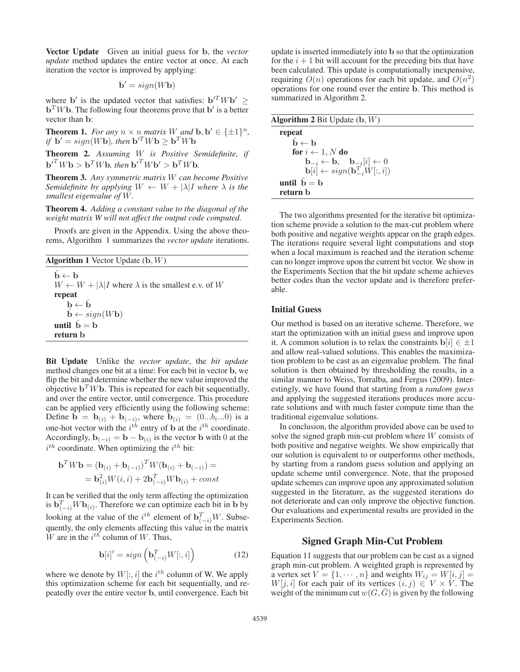Vector Update Given an initial guess for **b**, the *vector update* method updates the entire vector at once. At each iteration the vector is improved by applying:

$$
\mathbf{b}' = sign(W\mathbf{b})
$$

where **b**' is the updated vector that satisfies:  $\mathbf{b}^T W \mathbf{b}^T$  $\mathbf{b}^T W \mathbf{b}$ . The following four theorems prove that  $\mathbf{b}'$  is a better vector than **b**:

**Theorem 1.** *For any*  $n \times n$  *matrix W and* **b**,  $b' \in \{\pm 1\}^n$ *, if*  $\mathbf{b}' = sign(W\mathbf{b})$ *, then*  $\mathbf{b}'^T W \mathbf{b} \geq \mathbf{b}^T W \mathbf{b}$ 

Theorem 2. *Assuming* W *is Positive Semidefinite, if*  $\mathbf{b}^{T} W \mathbf{b} > \mathbf{b}^{T} W \mathbf{b}$ , then  $\mathbf{b}^{T} W \mathbf{b}^{T} > \mathbf{b}^{T} W \mathbf{b}$ .

Theorem 3. *Any symmetric matrix* W *can become Positive Semidefinite by applying*  $W \leftarrow W + |\lambda|I$  *where*  $\lambda$  *is the smallest eigenvalue of* W*.*

Theorem 4. *Adding a constant value to the diagonal of the weight matrix W will not affect the output code computed.*

Proofs are given in the Appendix. Using the above theorems, Algorithm 1 summarizes the *vector update* iterations.

| <b>Algorithm 1</b> Vector Update $(b, W)$                                                                              |  |  |  |  |  |  |  |
|------------------------------------------------------------------------------------------------------------------------|--|--|--|--|--|--|--|
| $\hat{\mathbf{b}} \leftarrow \mathbf{b}$                                                                               |  |  |  |  |  |  |  |
| $W \leftarrow W +  \lambda  I$ where $\lambda$ is the smallest e.v. of W                                               |  |  |  |  |  |  |  |
| repeat                                                                                                                 |  |  |  |  |  |  |  |
| $\begin{array}{l} \mathbf{b} \leftarrow \hat{\mathbf{b}} \\ \hat{\mathbf{b}} \leftarrow sign(W\mathbf{b}) \end{array}$ |  |  |  |  |  |  |  |
|                                                                                                                        |  |  |  |  |  |  |  |
| until $\hat{\mathbf{b}} = \mathbf{b}$                                                                                  |  |  |  |  |  |  |  |
| return h                                                                                                               |  |  |  |  |  |  |  |

Bit Update Unlike the *vector update*, the *bit update* method changes one bit at a time: For each bit in vector **b**, we flip the bit and determine whether the new value improved the objective  $\mathbf{b}^T W \mathbf{b}$ . This is repeated for each bit sequentially, and over the entire vector, until convergence. This procedure can be applied very efficiently using the following scheme: Define **b** = **b**<sub>(i)</sub> + **b**<sub>(−i)</sub>, where **b**<sub>(i)</sub> = (0...b<sub>i</sub>...0) is a one-hot vector with the  $i^{th}$  entry of **b** at the  $i^{th}$  coordinate. Accordingly,  $\mathbf{b}_{(-i)} = \mathbf{b} - \mathbf{b}_{(i)}$  is the vector **b** with 0 at the  $i^{th}$  coordinate. When optimizing the  $i^{th}$  bit:

$$
\mathbf{b}^T W \mathbf{b} = (\mathbf{b}_{(i)} + \mathbf{b}_{(-i)})^T W (\mathbf{b}_{(i)} + \mathbf{b}_{(-i)}) =
$$

$$
= \mathbf{b}_{(i)}^2 W(i, i) + 2 \mathbf{b}_{(-i)}^T W \mathbf{b}_{(i)} + const
$$

It can be verified that the only term affecting the optimization is  $\mathbf{b}_{(-i)}^T W \mathbf{b}_{(i)}$ . Therefore we can optimize each bit in **b** by looking at the value of the  $i^{th}$  element of  $\mathbf{b}_{(-i)}^T W$ . Subsequently, the only elements affecting this value in the matrix W are in the  $i^{th}$  column of W. Thus,

$$
\mathbf{b}[i]' = sign\left(\mathbf{b}_{(-i)}^T W[:, i]\right) \tag{12}
$$

where we denote by  $W[:, i]$  the  $i^{th}$  column of W. We apply this optimization scheme for each bit sequentially and rethis optimization scheme for each bit sequentially, and repeatedly over the entire vector **b**, until convergence. Each bit

update is inserted immediately into **b** so that the optimization for the  $i + 1$  bit will account for the preceding bits that have been calculated. This update is computationally inexpensive, requiring  $O(n)$  operations for each bit update, and  $O(n^2)$ operations for one round over the entire **b**. This method is summarized in Algorithm 2.

| <b>Algorithm 2</b> Bit Update $(b, W)$                                         |  |
|--------------------------------------------------------------------------------|--|
| repeat                                                                         |  |
| $\hat{\mathbf{b}} \leftarrow \mathbf{b}$                                       |  |
| for $i \leftarrow 1, N$ do                                                     |  |
| $\mathbf{b}_{-i} \leftarrow \mathbf{b}, \quad \mathbf{b}_{-i}[i] \leftarrow 0$ |  |
| $\mathbf{b}[i] \leftarrow sign(\mathbf{b}_{i}^{T}, W[:, i])$                   |  |
| until $\hat{b} = b$                                                            |  |
| return b                                                                       |  |

The two algorithms presented for the iterative bit optimization scheme provide a solution to the max-cut problem where both positive and negative weights appear on the graph edges. The iterations require several light computations and stop when a local maximum is reached and the iteration scheme can no longer improve upon the current bit vector. We show in the Experiments Section that the bit update scheme achieves better codes than the vector update and is therefore preferable.

## Initial Guess

Our method is based on an iterative scheme. Therefore, we start the optimization with an initial guess and improve upon it. A common solution is to relax the constraints  $\mathbf{b}[i] \in \pm 1$ and allow real-valued solutions. This enables the maximization problem to be cast as an eigenvalue problem. The final solution is then obtained by thresholding the results, in a similar manner to Weiss, Torralba, and Fergus (2009). Interestingly, we have found that starting from a *random guess* and applying the suggested iterations produces more accurate solutions and with much faster compute time than the traditional eigenvalue solutions.

In conclusion, the algorithm provided above can be used to solve the signed graph min-cut problem where W consists of both positive and negative weights. We show empirically that our solution is equivalent to or outperforms other methods, by starting from a random guess solution and applying an update scheme until convergence. Note, that the proposed update schemes can improve upon any approximated solution suggested in the literature, as the suggested iterations do not deteriorate and can only improve the objective function. Our evaluations and experimental results are provided in the Experiments Section.

# Signed Graph Min-Cut Problem

Equation 11 suggests that our problem can be cast as a signed graph min-cut problem. A weighted graph is represented by a vertex set  $V = \{1, \dots, n\}$  and weights  $W_{ij} = W[i, j] =$  $W[j, i]$  for each pair of its vertices  $(i, j) \in V \times V$ . The weight of the minimum cut  $w(G, G)$  is given by the following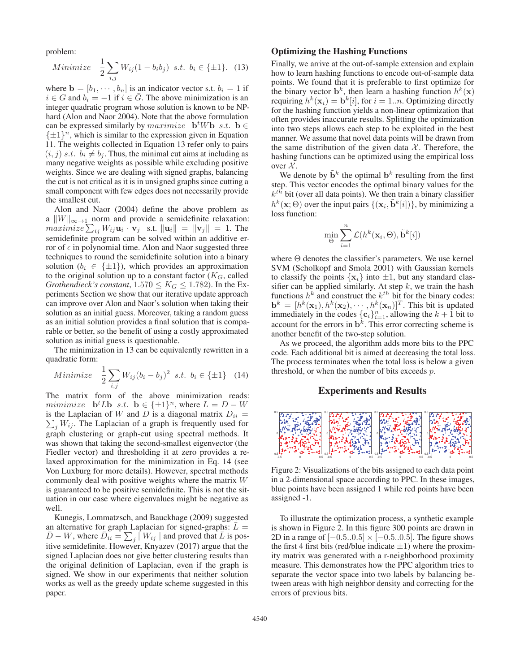problem:

Minimize 
$$
\frac{1}{2} \sum_{i,j} W_{ij} (1 - b_i b_j) \text{ s.t. } b_i \in \{\pm 1\}.
$$
 (13)

where  $\mathbf{b} = [b_1, \dots, b_n]$  is an indicator vector s.t.  $b_i = 1$  if  $i \in G$  and  $b_i = -1$  if  $i \in \overline{G}$ . The above minimization is an  $i \in G$  and  $b_i = -1$  if  $i \in \overline{G}$ . The above minimization is an integer quadratic program whose solution is known to be NPhard (Alon and Naor 2004). Note that the above formulation can be expressed similarly by  $maximize$  **b**<sup>t</sup>Wb *s.t.* **b**  $\in$  $\{\pm 1\}^n$ , which is similar to the expression given in Equation 11. The weights collected in Equation 13 refer only to pairs  $(i, j)$  s.t.  $b_i \neq b_j$ . Thus, the minimal cut aims at including as many negative weights as possible while excluding positive weights. Since we are dealing with signed graphs, balancing the cut is not critical as it is in unsigned graphs since cutting a small component with few edges does not necessarily provide the smallest cut.

Alon and Naor (2004) define the above problem as a  $||W||_{\infty\to 1}$  norm and provide a semidefinite relaxation:  $maximize \sum_{ij} W_{ij} \mathbf{u}_i \cdot \mathbf{v}_j$  s.t.  $\|\mathbf{u}_i\| = \|\mathbf{v}_j\| = 1$ . The semidefinite program can be solved within an additive error of  $\epsilon$  in polynomial time. Alon and Naor suggested three techniques to round the semidefinite solution into a binary solution ( $b_i \in {\pm 1}$ ), which provides an approximation to the original solution up to a constant factor  $(K_G,$  called *Grothendieck's constant*,  $1.570 \leq K_G \leq 1.782$ ). In the Experiments Section we show that our iterative update approach can improve over Alon and Naor's solution when taking their solution as an initial guess. Moreover, taking a random guess as an initial solution provides a final solution that is comparable or better, so the benefit of using a costly approximated solution as initial guess is questionable.

The minimization in 13 can be equivalently rewritten in a quadratic form:

Minimize 
$$
\frac{1}{2} \sum_{i,j} W_{ij} (b_i - b_j)^2
$$
 s.t.  $b_i \in \{\pm 1\}$  (14)

The matrix form of the above minimization reads: mimimize **b**<sup>t</sup>L**b** s.t. **b**  $\in \{\pm 1\}^n$ , where  $L = D - W$  is the Laplacian of W and D is a diagonal matrix  $D_{ij} =$ is the Laplacian of W and D is a diagonal matrix  $D_{ii} = \sum W_{ii}$ . The Laplacian of a graph is frequently used for  $\sum_{i} W_{ij}$ . The Laplacian of a graph is frequently used for graph clustering or graph-cut using spectral methods. It was shown that taking the second-smallest eigenvector (the Fiedler vector) and thresholding it at zero provides a relaxed approximation for the minimization in Eq. 14 (see Von Luxburg for more details). However, spectral methods commonly deal with positive weights where the matrix W is guaranteed to be positive semidefinite. This is not the situation in our case where eigenvalues might be negative as well.

Kunegis, Lommatzsch, and Bauckhage (2009) suggested an alternative for graph Laplacian for signed-graphs:  $\bar{L}$  =  $\overline{D} - W$ , where  $\overline{D}_{ii} = \sum_j |W_{ij}|$  and proved that  $\overline{L}$  is positive semidefinite. However, Knyazev (2017) argue that the itive semidefinite. However, Knyazev (2017) argue that the signed Laplacian does not give better clustering results than the original definition of Laplacian, even if the graph is signed. We show in our experiments that neither solution works as well as the greedy update scheme suggested in this paper.

## Optimizing the Hashing Functions

Finally, we arrive at the out-of-sample extension and explain how to learn hashing functions to encode out-of-sample data points. We found that it is preferable to first optimize for the binary vector  $\mathbf{b}^k$ , then learn a hashing function  $h^k(\mathbf{x})$ requiring  $h^k(\mathbf{x}_i) = \mathbf{b}^k[i]$ , for  $i = 1..n$ . Optimizing directly for the hashing function yields a non-linear optimization that often provides inaccurate results. Splitting the optimization into two steps allows each step to be exploited in the best manner. We assume that novel data points will be drawn from the same distribution of the given data  $X$ . Therefore, the hashing functions can be optimized using the empirical loss over  $\mathcal{X}$ .

We denote by  $\tilde{\mathbf{b}}^k$  the optimal  $\mathbf{b}^k$  resulting from the first step. This vector encodes the optimal binary values for the  $k^{th}$  bit (over all data points). We then train a binary classifier  $h^{k}(\mathbf{x};\Theta)$  over the input pairs  $\{(\mathbf{x}_i, \tilde{\mathbf{b}}^k[i])\}$ , by minimizing a loss function:

$$
\min_{\Theta} \sum_{i=1}^{n} \mathcal{L}(h^{k}(\mathbf{x}_{i}, \Theta), \tilde{\mathbf{b}}^{k}[i])
$$

where  $\Theta$  denotes the classifier's parameters. We use kernel SVM (Scholkopf and Smola 2001) with Gaussian kernels to classify the points  $\{x_i\}$  into  $\pm 1$ , but any standard classifier can be applied similarly. At step  $k$ , we train the hash functions  $h^k$  and construct the  $k^{th}$  bit for the binary codes:  $\mathbf{b}^k = [h^k(\mathbf{x}_1), h^k(\mathbf{x}_2), \cdots, h^k(\mathbf{x}_n)]^T$ . This bit is updated immediately in the codes  $\{\mathbf{c}_i\}_{i=1}^n$ , allowing the  $k + 1$  bit to account for the errors in  $\mathbf{b}^k$ . This error correcting scheme is account for the errors in  $\mathbf{b}^k$ . This error correcting scheme is another benefit of the two-step solution.

As we proceed, the algorithm adds more bits to the PPC code. Each additional bit is aimed at decreasing the total loss. The process terminates when the total loss is below a given threshold, or when the number of bits exceeds p.

## Experiments and Results



Figure 2: Visualizations of the bits assigned to each data point in a 2-dimensional space according to PPC. In these images, blue points have been assigned 1 while red points have been assigned -1.

To illustrate the optimization process, a synthetic example is shown in Figure 2. In this figure 300 points are drawn in 2D in a range of  $[-0.5..0.5] \times [-0.5..0.5]$ . The figure shows the first 4 first bits (red/blue indicate  $\pm 1$ ) where the proximity matrix was generated with a r-neighborhood proximity measure. This demonstrates how the PPC algorithm tries to separate the vector space into two labels by balancing between areas with high neighbor density and correcting for the errors of previous bits.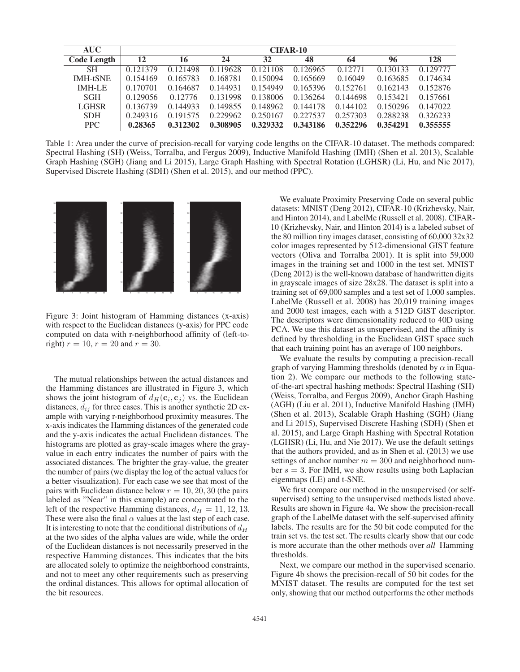| <b>AUC</b>         | <b>CIFAR-10</b> |          |          |          |          |          |          |          |
|--------------------|-----------------|----------|----------|----------|----------|----------|----------|----------|
| <b>Code Length</b> | 12              | 16       | 24       | 32       | 48       | 64       | 96       | 128      |
| <b>SH</b>          | 0.121379        | 0.121498 | 0.119628 | 0.121108 | 0.126965 | 0.12771  | 0.130133 | 0.129777 |
| <b>IMH-tSNE</b>    | 0.154169        | 0.165783 | 0.168781 | 0.150094 | 0.165669 | 0.16049  | 0.163685 | 0.174634 |
| <b>IMH-LE</b>      | 0.170701        | 0.164687 | 0.144931 | 0.154949 | 0.165396 | 0.152761 | 0.162143 | 0.152876 |
| <b>SGH</b>         | 0.129056        | 0.12776  | 0.131998 | 0.138006 | 0.136264 | 0.144698 | 0.153421 | 0.157661 |
| <b>LGHSR</b>       | 0.136739        | 0.144933 | 0.149855 | 0.148962 | 0.144178 | 0.144102 | 0.150296 | 0.147022 |
| <b>SDH</b>         | 0.249316        | 0.191575 | 0.229962 | 0.250167 | 0.227537 | 0.257303 | 0.288238 | 0.326233 |
| PPC.               | 0.28365         | 0.312302 | 0.308905 | 0.329332 | 0.343186 | 0.352296 | 0.354291 | 0.355555 |

Table 1: Area under the curve of precision-recall for varying code lengths on the CIFAR-10 dataset. The methods compared: Spectral Hashing (SH) (Weiss, Torralba, and Fergus 2009), Inductive Manifold Hashing (IMH) (Shen et al. 2013), Scalable Graph Hashing (SGH) (Jiang and Li 2015), Large Graph Hashing with Spectral Rotation (LGHSR) (Li, Hu, and Nie 2017), Supervised Discrete Hashing (SDH) (Shen et al. 2015), and our method (PPC).



Figure 3: Joint histogram of Hamming distances (x-axis) with respect to the Euclidean distances (y-axis) for PPC code computed on data with r-neighborhood affinity of (left-toright)  $r = 10$ ,  $r = 20$  and  $r = 30$ .

The mutual relationships between the actual distances and the Hamming distances are illustrated in Figure 3, which shows the joint histogram of  $d_H(c_i, c_j)$  vs. the Euclidean distances,  $d_{ij}$  for three cases. This is another synthetic 2D example with varying r-neighborhood proximity measures. The x-axis indicates the Hamming distances of the generated code and the y-axis indicates the actual Euclidean distances. The histograms are plotted as gray-scale images where the grayvalue in each entry indicates the number of pairs with the associated distances. The brighter the gray-value, the greater the number of pairs (we display the log of the actual values for a better visualization). For each case we see that most of the pairs with Euclidean distance below  $r = 10, 20, 30$  (the pairs labeled as "Near" in this example) are concentrated to the left of the respective Hamming distances,  $d_H = 11, 12, 13$ . These were also the final  $\alpha$  values at the last step of each case. It is interesting to note that the conditional distributions of  $d_H$ at the two sides of the alpha values are wide, while the order of the Euclidean distances is not necessarily preserved in the respective Hamming distances. This indicates that the bits are allocated solely to optimize the neighborhood constraints, and not to meet any other requirements such as preserving the ordinal distances. This allows for optimal allocation of the bit resources.

We evaluate Proximity Preserving Code on several public datasets: MNIST (Deng 2012), CIFAR-10 (Krizhevsky, Nair, and Hinton 2014), and LabelMe (Russell et al. 2008). CIFAR-10 (Krizhevsky, Nair, and Hinton 2014) is a labeled subset of the 80 million tiny images dataset, consisting of 60,000 32x32 color images represented by 512-dimensional GIST feature vectors (Oliva and Torralba 2001). It is split into 59,000 images in the training set and 1000 in the test set. MNIST (Deng 2012) is the well-known database of handwritten digits in grayscale images of size 28x28. The dataset is split into a training set of 69,000 samples and a test set of 1,000 samples. LabelMe (Russell et al. 2008) has 20,019 training images and 2000 test images, each with a 512D GIST descriptor. The descriptors were dimensionality reduced to 40D using PCA. We use this dataset as unsupervised, and the affinity is defined by thresholding in the Euclidean GIST space such that each training point has an average of 100 neighbors.

We evaluate the results by computing a precision-recall graph of varying Hamming thresholds (denoted by  $\alpha$  in Equation 2). We compare our methods to the following stateof-the-art spectral hashing methods: Spectral Hashing (SH) (Weiss, Torralba, and Fergus 2009), Anchor Graph Hashing (AGH) (Liu et al. 2011), Inductive Manifold Hashing (IMH) (Shen et al. 2013), Scalable Graph Hashing (SGH) (Jiang and Li 2015), Supervised Discrete Hashing (SDH) (Shen et al. 2015), and Large Graph Hashing with Spectral Rotation (LGHSR) (Li, Hu, and Nie 2017). We use the default settings that the authors provided, and as in Shen et al. (2013) we use settings of anchor number  $m = 300$  and neighborhood number  $s = 3$ . For IMH, we show results using both Laplacian eigenmaps (LE) and t-SNE.

We first compare our method in the unsupervised (or selfsupervised) setting to the unsupervised methods listed above. Results are shown in Figure 4a. We show the precision-recall graph of the LabelMe dataset with the self-supervised affinity labels. The results are for the 50 bit code computed for the train set vs. the test set. The results clearly show that our code is more accurate than the other methods over *all* Hamming thresholds.

Next, we compare our method in the supervised scenario. Figure 4b shows the precision-recall of 50 bit codes for the MNIST dataset. The results are computed for the test set only, showing that our method outperforms the other methods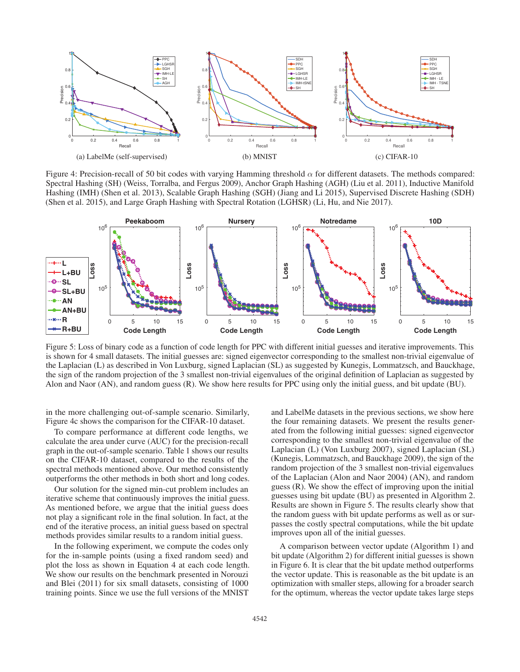

Figure 4: Precision-recall of 50 bit codes with varying Hamming threshold  $\alpha$  for different datasets. The methods compared: Spectral Hashing (SH) (Weiss, Torralba, and Fergus 2009), Anchor Graph Hashing (AGH) (Liu et al. 2011), Inductive Manifold Hashing (IMH) (Shen et al. 2013), Scalable Graph Hashing (SGH) (Jiang and Li 2015), Supervised Discrete Hashing (SDH) (Shen et al. 2015), and Large Graph Hashing with Spectral Rotation (LGHSR) (Li, Hu, and Nie 2017).



Figure 5: Loss of binary code as a function of code length for PPC with different initial guesses and iterative improvements. This is shown for 4 small datasets. The initial guesses are: signed eigenvector corresponding to the smallest non-trivial eigenvalue of the Laplacian (L) as described in Von Luxburg, signed Laplacian (SL) as suggested by Kunegis, Lommatzsch, and Bauckhage, the sign of the random projection of the 3 smallest non-trivial eigenvalues of the original definition of Laplacian as suggested by Alon and Naor (AN), and random guess (R). We show here results for PPC using only the initial guess, and bit update (BU).

in the more challenging out-of-sample scenario. Similarly, Figure 4c shows the comparison for the CIFAR-10 dataset.

To compare performance at different code lengths, we calculate the area under curve (AUC) for the precision-recall graph in the out-of-sample scenario. Table 1 shows our results on the CIFAR-10 dataset, compared to the results of the spectral methods mentioned above. Our method consistently outperforms the other methods in both short and long codes.

Our solution for the signed min-cut problem includes an iterative scheme that continuously improves the initial guess. As mentioned before, we argue that the initial guess does not play a significant role in the final solution. In fact, at the end of the iterative process, an initial guess based on spectral methods provides similar results to a random initial guess.

In the following experiment, we compute the codes only for the in-sample points (using a fixed random seed) and plot the loss as shown in Equation 4 at each code length. We show our results on the benchmark presented in Norouzi and Blei (2011) for six small datasets, consisting of 1000 training points. Since we use the full versions of the MNIST

and LabelMe datasets in the previous sections, we show here the four remaining datasets. We present the results generated from the following initial guesses: signed eigenvector corresponding to the smallest non-trivial eigenvalue of the Laplacian (L) (Von Luxburg 2007), signed Laplacian (SL) (Kunegis, Lommatzsch, and Bauckhage 2009), the sign of the random projection of the 3 smallest non-trivial eigenvalues of the Laplacian (Alon and Naor 2004) (AN), and random guess (R). We show the effect of improving upon the initial guesses using bit update (BU) as presented in Algorithm 2. Results are shown in Figure 5. The results clearly show that the random guess with bit update performs as well as or surpasses the costly spectral computations, while the bit update improves upon all of the initial guesses.

A comparison between vector update (Algorithm 1) and bit update (Algorithm 2) for different initial guesses is shown in Figure 6. It is clear that the bit update method outperforms the vector update. This is reasonable as the bit update is an optimization with smaller steps, allowing for a broader search for the optimum, whereas the vector update takes large steps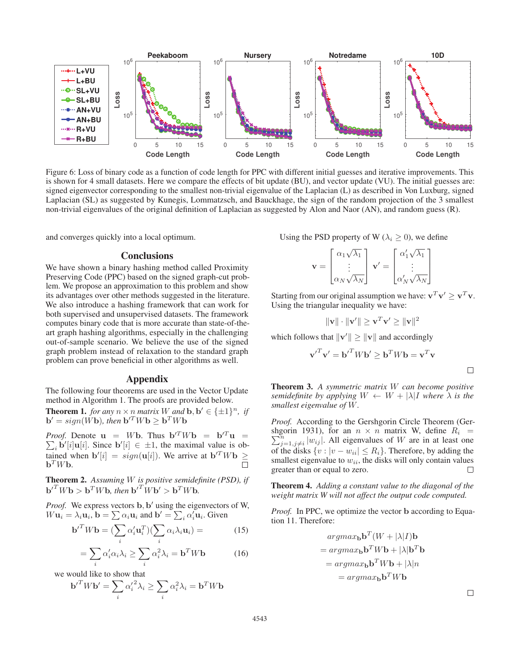

Figure 6: Loss of binary code as a function of code length for PPC with different initial guesses and iterative improvements. This is shown for 4 small datasets. Here we compare the effects of bit update (BU), and vector update (VU). The initial guesses are: signed eigenvector corresponding to the smallest non-trivial eigenvalue of the Laplacian (L) as described in Von Luxburg, signed Laplacian (SL) as suggested by Kunegis, Lommatzsch, and Bauckhage, the sign of the random projection of the 3 smallest non-trivial eigenvalues of the original definition of Laplacian as suggested by Alon and Naor (AN), and random guess (R).

and converges quickly into a local optimum.

#### **Conclusions**

We have shown a binary hashing method called Proximity Preserving Code (PPC) based on the signed graph-cut problem. We propose an approximation to this problem and show its advantages over other methods suggested in the literature. We also introduce a hashing framework that can work for both supervised and unsupervised datasets. The framework computes binary code that is more accurate than state-of-theart graph hashing algorithms, especially in the challenging out-of-sample scenario. We believe the use of the signed graph problem instead of relaxation to the standard graph problem can prove beneficial in other algorithms as well.

#### Appendix

The following four theorems are used in the Vector Update method in Algorithm 1. The proofs are provided below.

**Theorem 1.** *for any*  $n \times n$  *matrix* W *and* **b**,  $b' \in \{\pm 1\}^n$ *, if*  $\mathbf{b}' = sign(\dot{W}\mathbf{b})$ *, then*  $\mathbf{b}'^T W \mathbf{b} \geq \mathbf{b}^T W \mathbf{b}$ 

*Proof.* Denote  $\mathbf{u} = W\mathbf{b}$ . Thus  $\mathbf{b}'^T W \mathbf{b} = \mathbf{b}'^T \mathbf{u} =$ **Proof.** Denote  $\mathbf{u} = W\mathbf{b}$ . Thus  $\mathbf{b}^T W \mathbf{b} = \mathbf{b}^T \mathbf{u} = \sum_i \mathbf{b}^T[i] \mathbf{u}[i]$ . Since  $\mathbf{b}'[i] \in \pm 1$ , the maximal value is obtained when  $\mathbf{b}'[i] = sign(\mathbf{u}[i])$ . We arrive at  $\mathbf{b}^T W \mathbf{b} \geq \mathbf{b}^T W \math$  $\mathbf{b}^T W \mathbf{b}$ .

Theorem 2. *Assuming* W *is positive semidefinite (PSD), if*  $\mathbf{b}^{T} W \mathbf{b} > \mathbf{b}^{T} W \mathbf{b}$ , then  $\mathbf{b}^{T} W \mathbf{b}^{T} > \mathbf{b}^{T} W \mathbf{b}$ .

*Proof.* We express vectors **b**, **b**' using the eigenvectors of W,  $W\mathbf{u}_i = \lambda_i \mathbf{u}_i, \mathbf{b} = \sum \alpha_i \mathbf{u}_i \text{ and } \mathbf{b}' = \sum_i \alpha_i' \mathbf{u}_i.$  Given

$$
\mathbf{b}'^T W \mathbf{b} = (\sum_i \alpha'_i \mathbf{u}_i^T)(\sum_i \alpha_i \lambda_i \mathbf{u}_i) = (15)
$$

$$
= \sum_{i} \alpha'_{i} \alpha_{i} \lambda_{i} \ge \sum_{i} \alpha_{i}^{2} \lambda_{i} = \mathbf{b}^{T} W \mathbf{b}
$$
 (16)

we would like to show that

$$
{\bf b'}^T W {\bf b'} = \sum_i {\alpha'_i}^2 \lambda_i \geq \sum_i \alpha_i^2 \lambda_i = {\bf b}^T W {\bf b}
$$

Using the PSD property of W ( $\lambda_i \geq 0$ ), we define

$$
\mathbf{v} = \begin{bmatrix} \alpha_1 \sqrt{\lambda_1} \\ \vdots \\ \alpha_N \sqrt{\lambda_N} \end{bmatrix} \mathbf{v}' = \begin{bmatrix} \alpha'_1 \sqrt{\lambda_1} \\ \vdots \\ \alpha'_N \sqrt{\lambda_N} \end{bmatrix}
$$

Starting from our original assumption we have:  $\mathbf{v}^T \mathbf{v}' > \mathbf{v}^T \mathbf{v}$ . Using the triangular inequality we have:

 $\|\mathbf{v}\| \cdot \|\mathbf{v}'\| \geq \mathbf{v}^T \mathbf{v}' \geq \|\mathbf{v}\|^2$ 

which follows that  $\|\mathbf{v}'\| \geq \|\mathbf{v}\|$  and accordingly

$$
{\mathbf v'}^T {\mathbf v}' = {\mathbf b'}^T W {\mathbf b}' \ge {\mathbf b}^T W {\mathbf b} = {\mathbf v}^T {\mathbf v}
$$

Theorem 3. *A symmetric matrix* W *can become positive semidefinite by applying*  $W \leftarrow W + |\lambda|I$  *where*  $\lambda$  *is the smallest eigenvalue of* W*.*

*Proof.* According to the Gershgorin Circle Theorem (Gershgorin 1931), for an  $n \times n$  matrix W, define  $R_i$  = shgorin 1931), for an  $n \times n$  matrix W, define  $R_i = \sum_{j=1, j\neq i}^{n} |w_{ij}|$ . All eigenvalues of W are in at least one of the disks  $\{v : |v - w_{ii}| \leq R_i\}$ . Therefore, by adding the smallest eigenvalue to  $w_{ii}$ , the disks will only contain values greater than or equal to zero.  $\Box$ 

Theorem 4. *Adding a constant value to the diagonal of the weight matrix W will not affect the output code computed.*

*Proof.* In PPC, we optimize the vector **b** according to Equation 11. Therefore:

$$
argmax_{\mathbf{b}} \mathbf{b}^{T} (W + |\lambda| I) \mathbf{b}
$$
  
= 
$$
argmax_{\mathbf{b}} \mathbf{b}^{T} W \mathbf{b} + |\lambda| \mathbf{b}^{T} \mathbf{b}
$$
  
= 
$$
argmax_{\mathbf{b}} \mathbf{b}^{T} W \mathbf{b} + |\lambda| n
$$
  
= 
$$
argmax_{\mathbf{b}} \mathbf{b}^{T} W \mathbf{b}
$$

 $\Box$